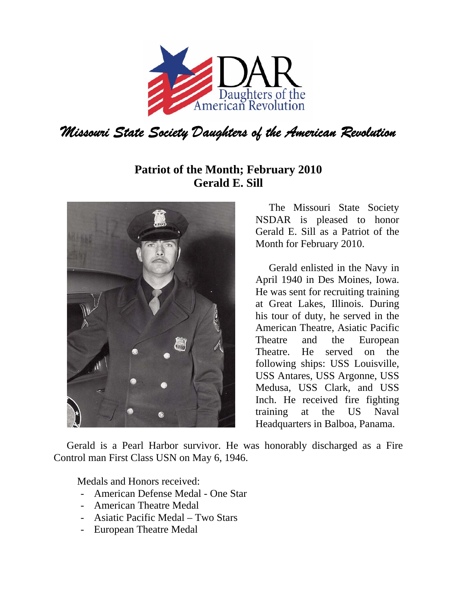

## **Patriot of the Month; February 2010 Gerald E. Sill**



The Missouri State Society NSDAR is pleased to honor Gerald E. Sill as a Patriot of the Month for February 2010.

Gerald enlisted in the Navy in April 1940 in Des Moines, Iowa. He was sent for recruiting training at Great Lakes, Illinois. During his tour of duty, he served in the American Theatre, Asiatic Pacific Theatre and the European Theatre. He served on the following ships: USS Louisville, USS Antares, USS Argonne, USS Medusa, USS Clark, and USS Inch. He received fire fighting training at the US Naval Headquarters in Balboa, Panama.

 Gerald is a Pearl Harbor survivor. He was honorably discharged as a Fire Control man First Class USN on May 6, 1946.

Medals and Honors received:

- American Defense Medal One Star
- American Theatre Medal
- Asiatic Pacific Medal Two Stars
- European Theatre Medal